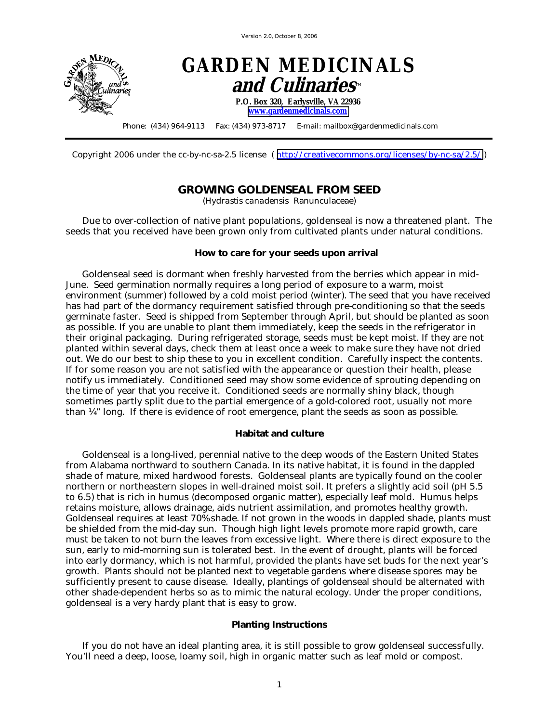Version 2.0, October 8, 2006



Copyright 2006 under the cc-by-nc-sa-2.5 license ( <http://creativecommons.org/licenses/by-nc-sa/2.5/>)

## **GROWING GOLDENSEAL FROM SEED**

*(Hydrastis canadensis* Ranunculaceae*)* 

Due to over-collection of native plant populations, goldenseal is now a threatened plant. The seeds that you received have been grown only from cultivated plants under natural conditions.

## **How to care for your seeds upon arrival**

Goldenseal seed is dormant when freshly harvested from the berries which appear in mid-June. Seed germination normally requires a long period of exposure to a warm, moist environment (summer) followed by a cold moist period (winter). The seed that you have received has had part of the dormancy requirement satisfied through pre-conditioning so that the seeds germinate faster. Seed is shipped from September through April, but should be planted as soon as possible. If you are unable to plant them immediately, keep the seeds in the refrigerator in their original packaging. During refrigerated storage, seeds must be kept moist. If they are not planted within several days, check them at least once a week to make sure they have not dried out. We do our best to ship these to you in excellent condition. Carefully inspect the contents. If for some reason you are not satisfied with the appearance or question their health, please notify us immediately. Conditioned seed may show some evidence of sprouting depending on the time of year that you receive it. Conditioned seeds are normally shiny black, though sometimes partly split due to the partial emergence of a gold-colored root, usually not more than ¼" long. If there is evidence of root emergence, plant the seeds as soon as possible.

## **Habitat and culture**

Goldenseal is a long-lived, perennial native to the deep woods of the Eastern United States from Alabama northward to southern Canada. In its native habitat, it is found in the dappled shade of mature, mixed hardwood forests. Goldenseal plants are typically found on the cooler northern or northeastern slopes in well-drained moist soil. It prefers a slightly acid soil (pH 5.5 to 6.5) that is rich in humus (decomposed organic matter), especially leaf mold. Humus helps retains moisture, allows drainage, aids nutrient assimilation, and promotes healthy growth. Goldenseal requires at least 70% shade. If not grown in the woods in dappled shade, plants must be shielded from the mid-day sun. Though high light levels promote more rapid growth, care must be taken to not burn the leaves from excessive light. Where there is direct exposure to the sun, early to mid-morning sun is tolerated best. In the event of drought, plants will be forced into early dormancy, which is not harmful, provided the plants have set buds for the next year's growth. Plants should not be planted next to vegetable gardens where disease spores may be sufficiently present to cause disease. Ideally, plantings of goldenseal should be alternated with other shade-dependent herbs so as to mimic the natural ecology. Under the proper conditions, goldenseal is a very hardy plant that is easy to grow.

## **Planting Instructions**

If you do not have an ideal planting area, it is still possible to grow goldenseal successfully. You'll need a deep, loose, loamy soil, high in organic matter such as leaf mold or compost.